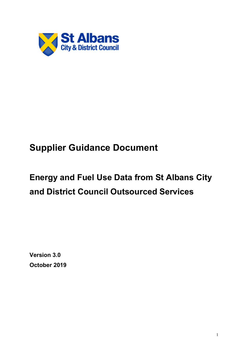

# **Supplier Guidance Document**

# **Energy and Fuel Use Data from St Albans City and District Council Outsourced Services**

**Version 3.0 October 2019**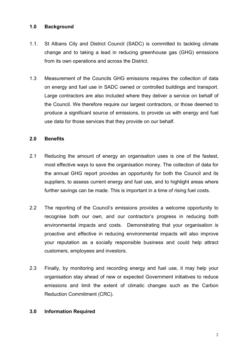#### **1.0 Background**

- 1.1. St Albans City and District Council (SADC) is committed to tackling climate change and to taking a lead in reducing greenhouse gas (GHG) emissions from its own operations and across the District.
- 1.3 Measurement of the Councils GHG emissions requires the collection of data on energy and fuel use in SADC owned or controlled buildings and transport. Large contractors are also included where they deliver a service on behalf of the Council. We therefore require our largest contractors, or those deemed to produce a significant source of emissions, to provide us with energy and fuel use data for those services that they provide on our behalf.

#### **2.0 Benefits**

- 2.1 Reducing the amount of energy an organisation uses is one of the fastest, most effective ways to save the organisation money. The collection of data for the annual GHG report provides an opportunity for both the Council and its suppliers, to assess current energy and fuel use, and to highlight areas where further savings can be made. This is important in a time of rising fuel costs.
- 2.2 The reporting of the Council's emissions provides a welcome opportunity to recognise both our own, and our contractor's progress in reducing both environmental impacts and costs. Demonstrating that your organisation is proactive and effective in reducing environmental impacts will also improve your reputation as a socially responsible business and could help attract customers, employees and investors.
- 2.3 Finally, by monitoring and recording energy and fuel use, it may help your organisation stay ahead of new or expected Government initiatives to reduce emissions and limit the extent of climatic changes such as the Carbon Reduction Commitment (CRC).

#### **3.0 Information Required**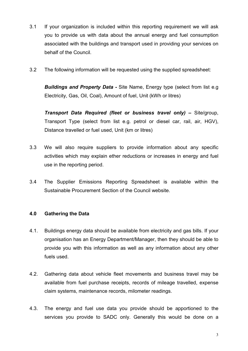- 3.1 If your organization is included within this reporting requirement we will ask you to provide us with data about the annual energy and fuel consumption associated with the buildings and transport used in providing your services on behalf of the Council.
- 3.2 The following information will be requested using the supplied spreadsheet:

*Buildings and Property Data -* Site Name, Energy type (select from list e.g Electricity, Gas, Oil, Coal), Amount of fuel, Unit (kWh or litres)

*Transport Data Required (fleet or business travel only) –* Site/group, Transport Type (select from list e.g. petrol or diesel car, rail, air, HGV), Distance travelled or fuel used, Unit (km or litres)

- 3.3 We will also require suppliers to provide information about any specific activities which may explain ether reductions or increases in energy and fuel use in the reporting period.
- 3.4 The Supplier Emissions Reporting Spreadsheet is available within the Sustainable Procurement Section of the Council website.

## **4.0 Gathering the Data**

- 4.1. Buildings energy data should be available from electricity and gas bills. If your organisation has an Energy Department/Manager, then they should be able to provide you with this information as well as any information about any other fuels used.
- 4.2. Gathering data about vehicle fleet movements and business travel may be available from fuel purchase receipts, records of mileage travelled, expense claim systems, maintenance records, milometer readings.
- 4.3. The energy and fuel use data you provide should be apportioned to the services you provide to SADC only. Generally this would be done on a